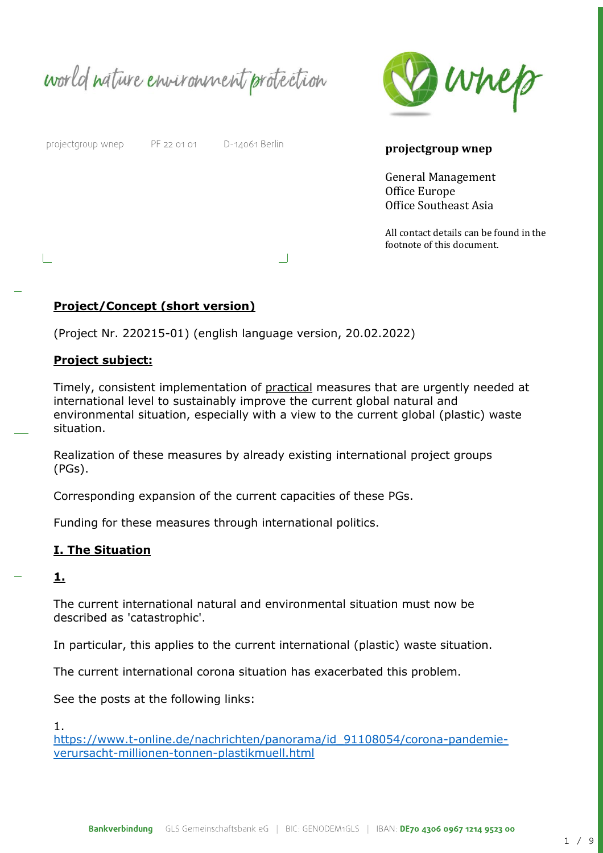world nature environment protection



projectgroup wnep

L

PF 22 01 01

D-14061 Berlin

#### **projectgroup wnep**

General Management Office Europe Office Southeast Asia

All contact details can be found in the footnote of this document.

### **Project/Concept (short version)**

(Project Nr. 220215-01) (english language version, 20.02.2022)

#### **Project subject:**

Timely, consistent implementation of practical measures that are urgently needed at international level to sustainably improve the current global natural and environmental situation, especially with a view to the current global (plastic) waste situation.

 $\Box$ 

Realization of these measures by already existing international project groups (PGs).

Corresponding expansion of the current capacities of these PGs.

Funding for these measures through international politics.

#### **I. The Situation**

**1.**

The current international natural and environmental situation must now be described as 'catastrophic'.

In particular, this applies to the current international (plastic) waste situation.

The current international corona situation has exacerbated this problem.

See the posts at the following links:

1.

[https://www.t-online.de/nachrichten/panorama/id\\_91108054/corona-pandemie](https://www.t-online.de/nachrichten/panorama/id_91108054/corona-pandemie-verursacht-millionen-tonnen-plastikmuell.html)[verursacht-millionen-tonnen-plastikmuell.html](https://www.t-online.de/nachrichten/panorama/id_91108054/corona-pandemie-verursacht-millionen-tonnen-plastikmuell.html)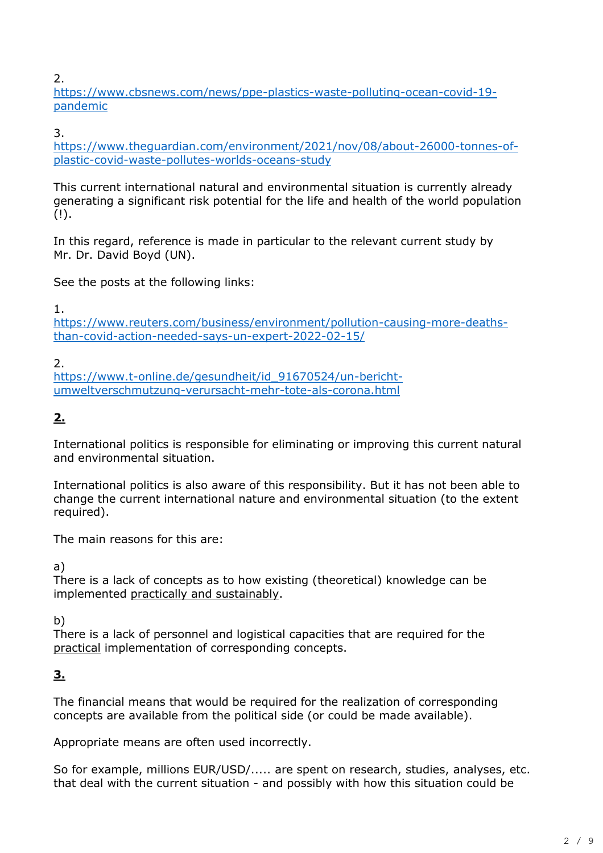2.

[https://www.cbsnews.com/news/ppe-plastics-waste-polluting-ocean-covid-19](https://www.cbsnews.com/news/ppe-plastics-waste-polluting-ocean-covid-19-pandemic/) [pandemic](https://www.cbsnews.com/news/ppe-plastics-waste-polluting-ocean-covid-19-pandemic/)

3.

[https://www.theguardian.com/environment/2021/nov/08/about-26000-tonnes-of](https://www.theguardian.com/environment/2021/nov/08/about-26000-tonnes-of-plastic-covid-waste-pollutes-worlds-oceans-study)[plastic-covid-waste-pollutes-worlds-oceans-study](https://www.theguardian.com/environment/2021/nov/08/about-26000-tonnes-of-plastic-covid-waste-pollutes-worlds-oceans-study)

This current international natural and environmental situation is currently already generating a significant risk potential for the life and health of the world population  $(!)$ .

In this regard, reference is made in particular to the relevant current study by Mr. Dr. David Boyd (UN).

See the posts at the following links:

1.

[https://www.reuters.com/business/environment/pollution-causing-more-deaths](https://www.reuters.com/business/environment/pollution-causing-more-deaths-than-covid-action-needed-says-un-expert-2022-02-15/)[than-covid-action-needed-says-un-expert-2022-02-15/](https://www.reuters.com/business/environment/pollution-causing-more-deaths-than-covid-action-needed-says-un-expert-2022-02-15/)

2.

[https://www.t-online.de/gesundheit/id\\_91670524/un-bericht](https://www.t-online.de/gesundheit/id_91670524/un-bericht-umweltverschmutzung-verursacht-mehr-tote-als-corona.html)[umweltverschmutzung-verursacht-mehr-tote-als-corona.html](https://www.t-online.de/gesundheit/id_91670524/un-bericht-umweltverschmutzung-verursacht-mehr-tote-als-corona.html)

# **2.**

International politics is responsible for eliminating or improving this current natural and environmental situation.

International politics is also aware of this responsibility. But it has not been able to change the current international nature and environmental situation (to the extent required).

The main reasons for this are:

a)

There is a lack of concepts as to how existing (theoretical) knowledge can be implemented practically and sustainably.

b)

There is a lack of personnel and logistical capacities that are required for the practical implementation of corresponding concepts.

# **3.**

The financial means that would be required for the realization of corresponding concepts are available from the political side (or could be made available).

Appropriate means are often used incorrectly.

So for example, millions EUR/USD/..... are spent on research, studies, analyses, etc. that deal with the current situation - and possibly with how this situation could be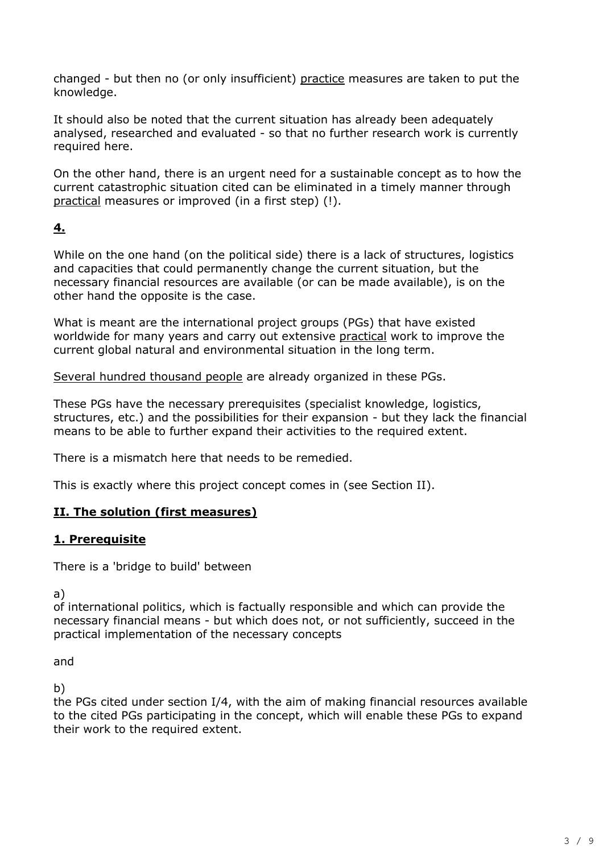changed - but then no (or only insufficient) practice measures are taken to put the knowledge.

It should also be noted that the current situation has already been adequately analysed, researched and evaluated - so that no further research work is currently required here.

On the other hand, there is an urgent need for a sustainable concept as to how the current catastrophic situation cited can be eliminated in a timely manner through practical measures or improved (in a first step) (!).

# **4.**

While on the one hand (on the political side) there is a lack of structures, logistics and capacities that could permanently change the current situation, but the necessary financial resources are available (or can be made available), is on the other hand the opposite is the case.

What is meant are the international project groups (PGs) that have existed worldwide for many years and carry out extensive practical work to improve the current global natural and environmental situation in the long term.

Several hundred thousand people are already organized in these PGs.

These PGs have the necessary prerequisites (specialist knowledge, logistics, structures, etc.) and the possibilities for their expansion - but they lack the financial means to be able to further expand their activities to the required extent.

There is a mismatch here that needs to be remedied.

This is exactly where this project concept comes in (see Section II).

# **II. The solution (first measures)**

# **1. Prerequisite**

There is a 'bridge to build' between

a)

of international politics, which is factually responsible and which can provide the necessary financial means - but which does not, or not sufficiently, succeed in the practical implementation of the necessary concepts

and

b)

the PGs cited under section I/4, with the aim of making financial resources available to the cited PGs participating in the concept, which will enable these PGs to expand their work to the required extent.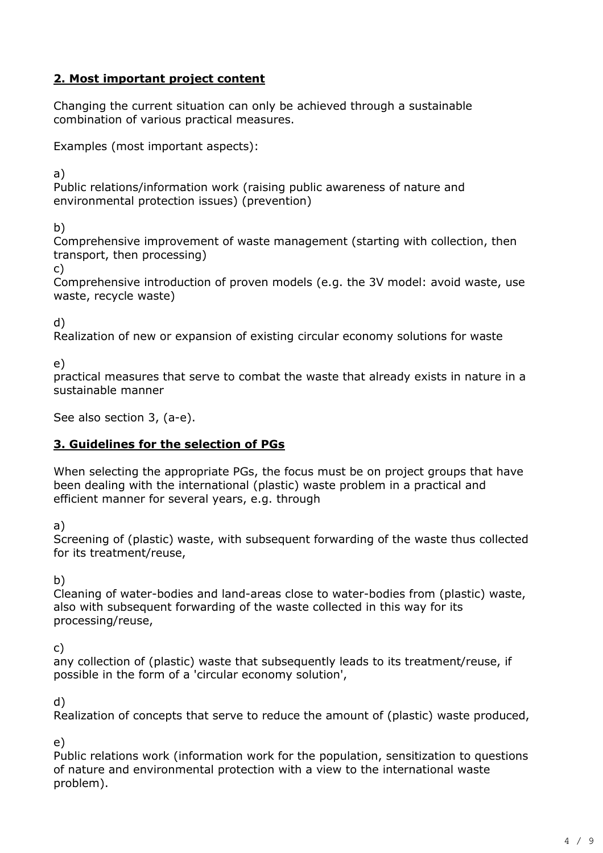# **2. Most important project content**

Changing the current situation can only be achieved through a sustainable combination of various practical measures.

Examples (most important aspects):

a)

Public relations/information work (raising public awareness of nature and environmental protection issues) (prevention)

b)

Comprehensive improvement of waste management (starting with collection, then transport, then processing)

c)

Comprehensive introduction of proven models (e.g. the 3V model: avoid waste, use waste, recycle waste)

d)

Realization of new or expansion of existing circular economy solutions for waste

e)

practical measures that serve to combat the waste that already exists in nature in a sustainable manner

See also section 3, (a-e).

# **3. Guidelines for the selection of PGs**

When selecting the appropriate PGs, the focus must be on project groups that have been dealing with the international (plastic) waste problem in a practical and efficient manner for several years, e.g. through

a)

Screening of (plastic) waste, with subsequent forwarding of the waste thus collected for its treatment/reuse,

b)

Cleaning of water-bodies and land-areas close to water-bodies from (plastic) waste, also with subsequent forwarding of the waste collected in this way for its processing/reuse,

c)

any collection of (plastic) waste that subsequently leads to its treatment/reuse, if possible in the form of a 'circular economy solution',

d)

Realization of concepts that serve to reduce the amount of (plastic) waste produced,

e)

Public relations work (information work for the population, sensitization to questions of nature and environmental protection with a view to the international waste problem).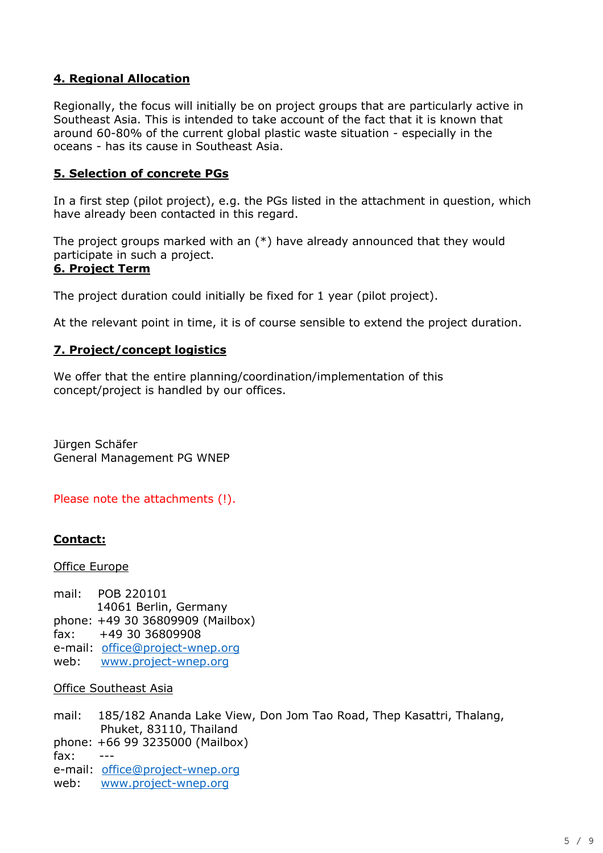# **4. Regional Allocation**

Regionally, the focus will initially be on project groups that are particularly active in Southeast Asia. This is intended to take account of the fact that it is known that around 60-80% of the current global plastic waste situation - especially in the oceans - has its cause in Southeast Asia.

### **5. Selection of concrete PGs**

In a first step (pilot project), e.g. the PGs listed in the attachment in question, which have already been contacted in this regard.

The project groups marked with an (\*) have already announced that they would participate in such a project.

#### **6. Project Term**

The project duration could initially be fixed for 1 year (pilot project).

At the relevant point in time, it is of course sensible to extend the project duration.

### **7. Project/concept logistics**

We offer that the entire planning/coordination/implementation of this concept/project is handled by our offices.

Jürgen Schäfer General Management PG WNEP

Please note the attachments (!).

### **Contact:**

Office Europe

mail: POB 220101 14061 Berlin, Germany phone: +49 30 36809909 (Mailbox) fax: +49 30 36809908 e-mail: [office@project-wnep.org](mailto:office@project-wnep.org) web: [www.project-wnep.org](http://www.project-wnep.org/)

#### Office Southeast Asia

mail: 185/182 Ananda Lake View, Don Jom Tao Road, Thep Kasattri, Thalang, Phuket, 83110, Thailand phone: +66 99 3235000 (Mailbox) fax: e-mail: [office@project-wnep.org](mailto:office@project-wnep.org) web: [www.project-wnep.org](http://www.project-wnep.org/)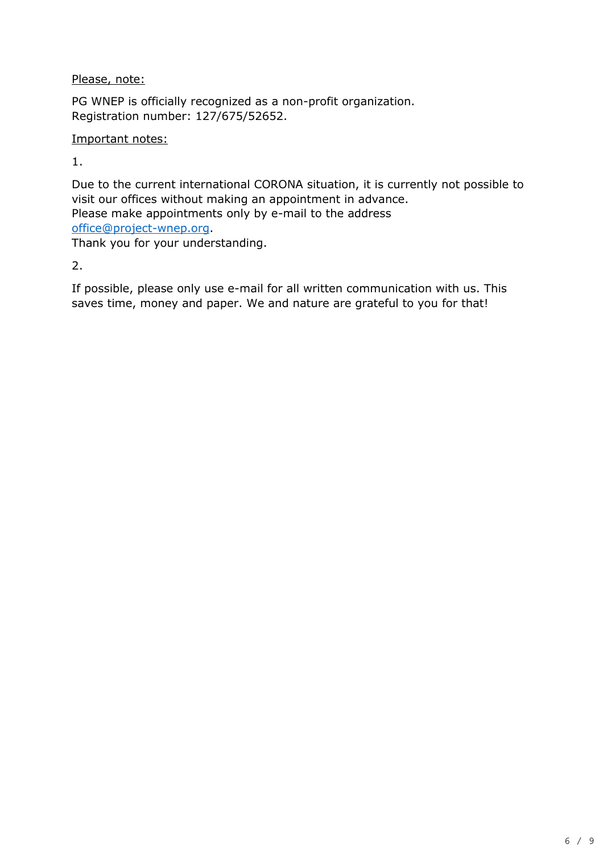Please, note:

PG WNEP is officially recognized as a non-profit organization. Registration number: 127/675/52652.

## Important notes:

1.

Due to the current international CORONA situation, it is currently not possible to visit our offices without making an appointment in advance. Please make appointments only by e-mail to the address [office@project-wnep.org.](mailto:office@project-wnep.org) Thank you for your understanding.

2.

If possible, please only use e-mail for all written communication with us. This saves time, money and paper. We and nature are grateful to you for that!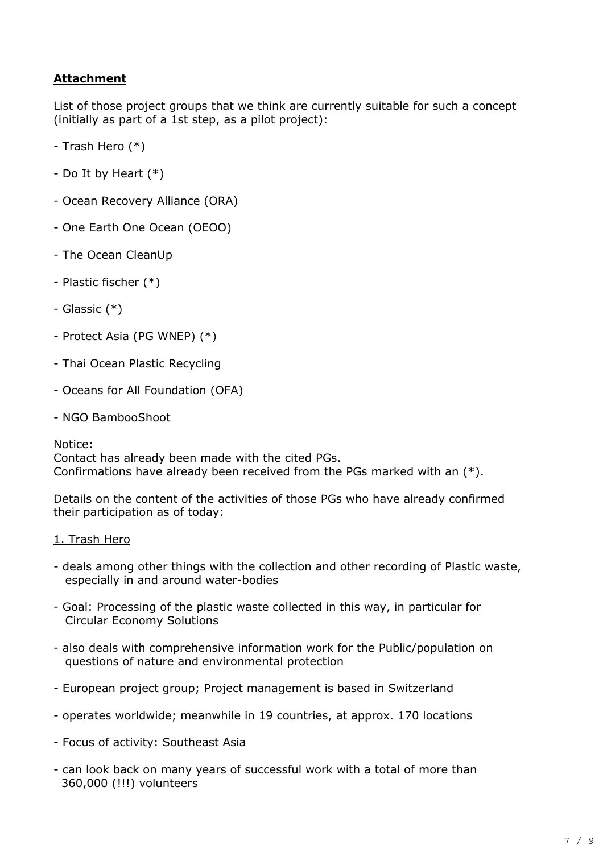# **Attachment**

List of those project groups that we think are currently suitable for such a concept (initially as part of a 1st step, as a pilot project):

- Trash Hero (\*)
- Do It by Heart (\*)
- Ocean Recovery Alliance (ORA)
- One Earth One Ocean (OEOO)
- The Ocean CleanUp
- Plastic fischer (\*)
- Glassic (\*)
- Protect Asia (PG WNEP) (\*)
- Thai Ocean Plastic Recycling
- Oceans for All Foundation (OFA)
- NGO BambooShoot

Notice:

Contact has already been made with the cited PGs. Confirmations have already been received from the PGs marked with an (\*).

Details on the content of the activities of those PGs who have already confirmed their participation as of today:

#### 1. Trash Hero

- deals among other things with the collection and other recording of Plastic waste, especially in and around water-bodies
- Goal: Processing of the plastic waste collected in this way, in particular for Circular Economy Solutions
- also deals with comprehensive information work for the Public/population on questions of nature and environmental protection
- European project group; Project management is based in Switzerland
- operates worldwide; meanwhile in 19 countries, at approx. 170 locations
- Focus of activity: Southeast Asia
- can look back on many years of successful work with a total of more than 360,000 (!!!) volunteers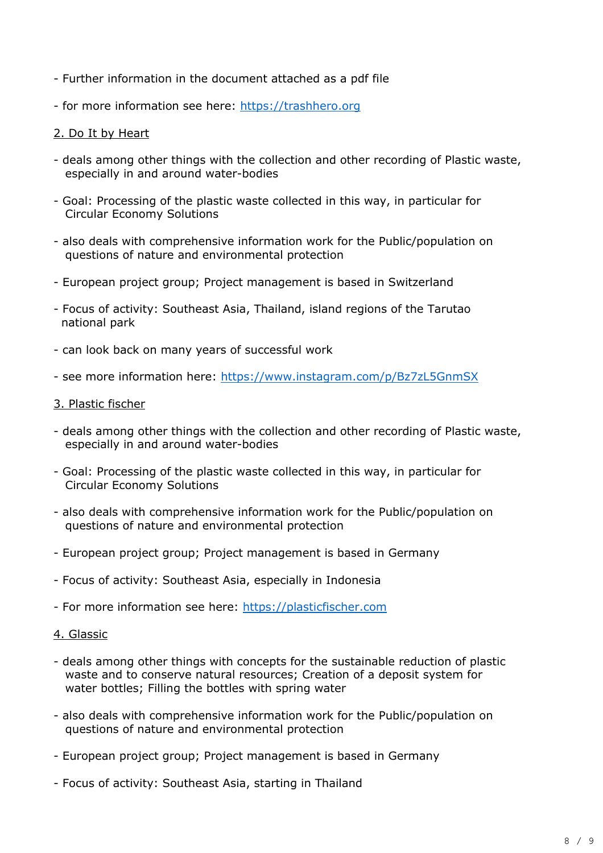- Further information in the document attached as a pdf file
- for more information see here: [https://trashhero.org](https://trashhero.org/)

#### 2. Do It by Heart

- deals among other things with the collection and other recording of Plastic waste, especially in and around water-bodies
- Goal: Processing of the plastic waste collected in this way, in particular for Circular Economy Solutions
- also deals with comprehensive information work for the Public/population on questions of nature and environmental protection
- European project group; Project management is based in Switzerland
- Focus of activity: Southeast Asia, Thailand, island regions of the Tarutao national park
- can look back on many years of successful work
- see more information here:<https://www.instagram.com/p/Bz7zL5GnmSX>
- 3. Plastic fischer
- deals among other things with the collection and other recording of Plastic waste, especially in and around water-bodies
- Goal: Processing of the plastic waste collected in this way, in particular for Circular Economy Solutions
- also deals with comprehensive information work for the Public/population on questions of nature and environmental protection
- European project group; Project management is based in Germany
- Focus of activity: Southeast Asia, especially in Indonesia
- For more information see here: [https://plasticfischer.com](https://plasticfischer.com/)
- 4. Glassic
- deals among other things with concepts for the sustainable reduction of plastic waste and to conserve natural resources; Creation of a deposit system for water bottles; Filling the bottles with spring water
- also deals with comprehensive information work for the Public/population on questions of nature and environmental protection
- European project group; Project management is based in Germany
- Focus of activity: Southeast Asia, starting in Thailand